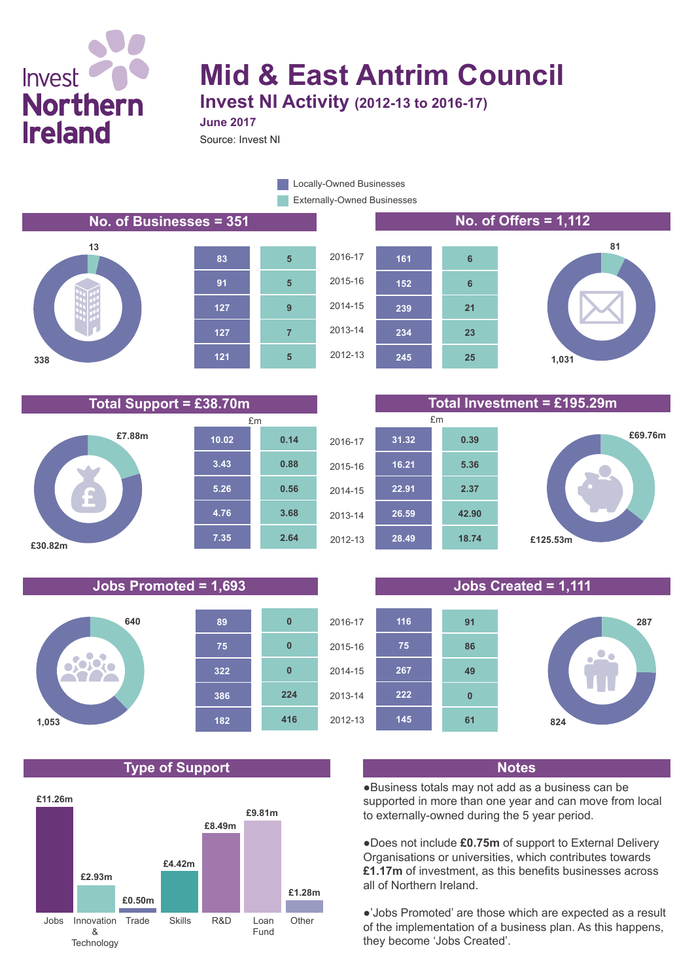## Invest<sup>1</sup> **Northern Ireland**

# **Mid & East Antrim Council**

**Invest NI Activity (2012-13 to 2016-17)**

Source: Invest NI **June 2017**

> Externally-Owned Businesses Locally-Owned Businesses

**2.64**

**3.68**

**0.56**

**0.88**

**5**

**7**

**9**

**5**

**5**

### **No. of Businesses = 351 No. of Offers = 1,112**







### **Total Support = £38.70m Total Investment = £195.29m**



### **Jobs Promoted = 1,693 Jobs Created = 1,111**



### **Type of Support Notes**



**25**

**23**

**21**

**6**

**6**





●Business totals may not add as a business can be supported in more than one year and can move from local to externally-owned during the 5 year period.

●Does not include **£0.75m** of support to External Delivery Organisations or universities, which contributes towards **£1.17m** of investment, as this benefits businesses across all of Northern Ireland.

●'Jobs Promoted' are those which are expected as a result of the implementation of a business plan. As this happens, they become 'Jobs Created'.